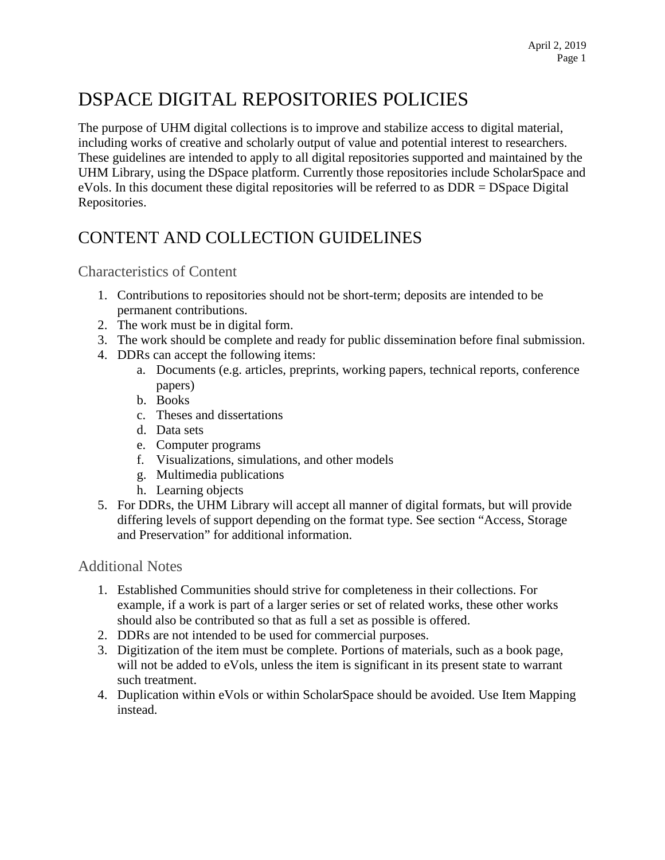# DSPACE DIGITAL REPOSITORIES POLICIES

The purpose of UHM digital collections is to improve and stabilize access to digital material, including works of creative and scholarly output of value and potential interest to researchers. These guidelines are intended to apply to all digital repositories supported and maintained by the UHM Library, using the DSpace platform. Currently those repositories include ScholarSpace and eVols. In this document these digital repositories will be referred to as DDR = DSpace Digital Repositories.

### CONTENT AND COLLECTION GUIDELINES

Characteristics of Content

- 1. Contributions to repositories should not be short-term; deposits are intended to be permanent contributions.
- 2. The work must be in digital form.
- 3. The work should be complete and ready for public dissemination before final submission.
- 4. DDRs can accept the following items:
	- a. Documents (e.g. articles, preprints, working papers, technical reports, conference papers)
	- b. Books
	- c. Theses and dissertations
	- d. Data sets
	- e. Computer programs
	- f. Visualizations, simulations, and other models
	- g. Multimedia publications
	- h. Learning objects
- 5. For DDRs, the UHM Library will accept all manner of digital formats, but will provide differing levels of support depending on the format type. See section "Access, Storage and Preservation" for additional information.

#### Additional Notes

- 1. Established Communities should strive for completeness in their collections. For example, if a work is part of a larger series or set of related works, these other works should also be contributed so that as full a set as possible is offered.
- 2. DDRs are not intended to be used for commercial purposes.
- 3. Digitization of the item must be complete. Portions of materials, such as a book page, will not be added to eVols, unless the item is significant in its present state to warrant such treatment.
- 4. Duplication within eVols or within ScholarSpace should be avoided. Use Item Mapping instead.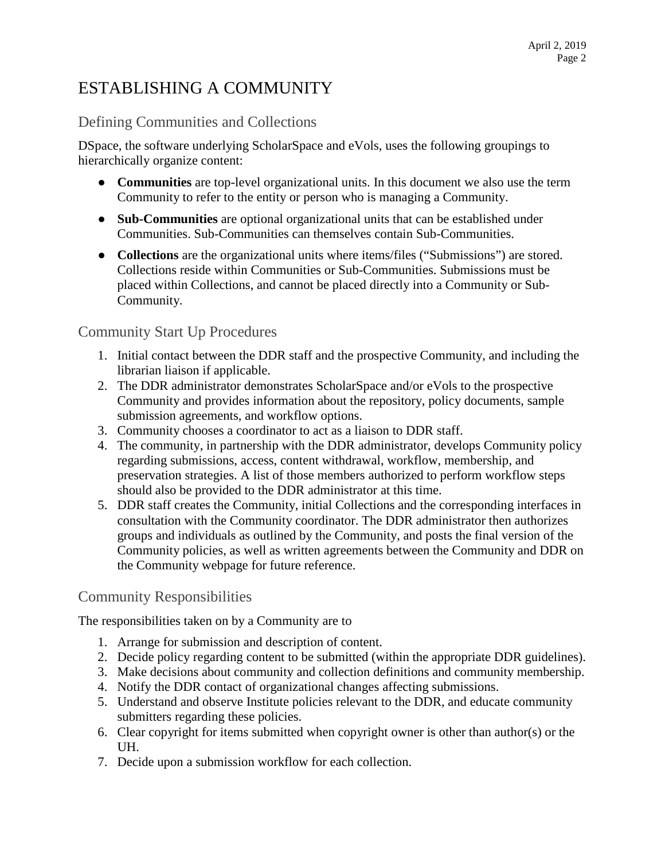# ESTABLISHING A COMMUNITY

#### Defining Communities and Collections

DSpace, the software underlying ScholarSpace and eVols, uses the following groupings to hierarchically organize content:

- **Communities** are top-level organizational units. In this document we also use the term Community to refer to the entity or person who is managing a Community.
- **Sub-Communities** are optional organizational units that can be established under Communities. Sub-Communities can themselves contain Sub-Communities.
- **Collections** are the organizational units where items/files ("Submissions") are stored. Collections reside within Communities or Sub-Communities. Submissions must be placed within Collections, and cannot be placed directly into a Community or Sub-Community.

#### Community Start Up Procedures

- 1. Initial contact between the DDR staff and the prospective Community, and including the librarian liaison if applicable.
- 2. The DDR administrator demonstrates ScholarSpace and/or eVols to the prospective Community and provides information about the repository, policy documents, sample submission agreements, and workflow options.
- 3. Community chooses a coordinator to act as a liaison to DDR staff.
- 4. The community, in partnership with the DDR administrator, develops Community policy regarding submissions, access, content withdrawal, workflow, membership, and preservation strategies. A list of those members authorized to perform workflow steps should also be provided to the DDR administrator at this time.
- 5. DDR staff creates the Community, initial Collections and the corresponding interfaces in consultation with the Community coordinator. The DDR administrator then authorizes groups and individuals as outlined by the Community, and posts the final version of the Community policies, as well as written agreements between the Community and DDR on the Community webpage for future reference.

#### Community Responsibilities

The responsibilities taken on by a Community are to

- 1. Arrange for submission and description of content.
- 2. Decide policy regarding content to be submitted (within the appropriate DDR guidelines).
- 3. Make decisions about community and collection definitions and community membership.
- 4. Notify the DDR contact of organizational changes affecting submissions.
- 5. Understand and observe Institute policies relevant to the DDR, and educate community submitters regarding these policies.
- 6. Clear copyright for items submitted when copyright owner is other than author(s) or the UH.
- 7. Decide upon a submission workflow for each collection.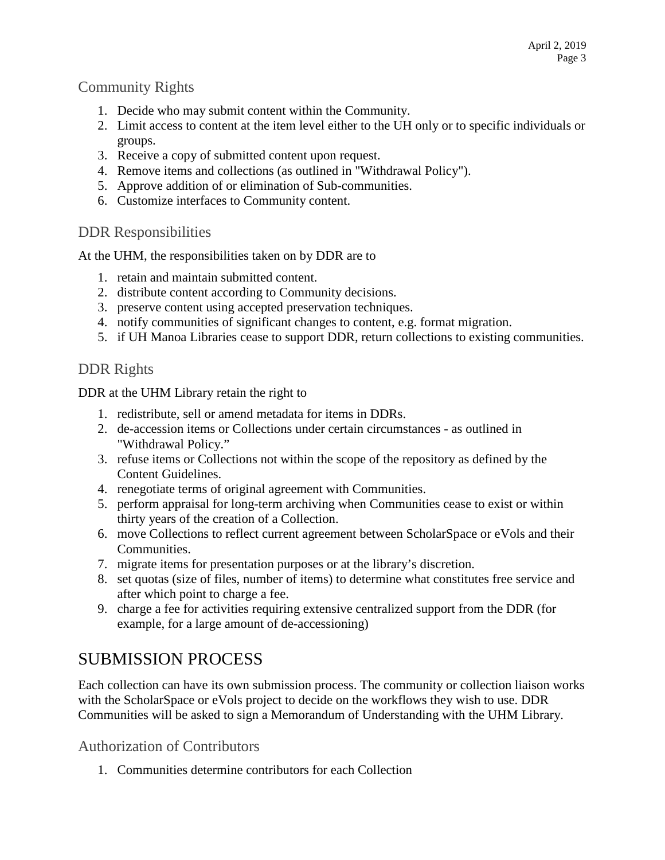#### Community Rights

- 1. Decide who may submit content within the Community.
- 2. Limit access to content at the item level either to the UH only or to specific individuals or groups.
- 3. Receive a copy of submitted content upon request.
- 4. Remove items and collections (as outlined in "Withdrawal Policy").
- 5. Approve addition of or elimination of Sub-communities.
- 6. Customize interfaces to Community content.

#### DDR Responsibilities

At the UHM, the responsibilities taken on by DDR are to

- 1. retain and maintain submitted content.
- 2. distribute content according to Community decisions.
- 3. preserve content using accepted preservation techniques.
- 4. notify communities of significant changes to content, e.g. format migration.
- 5. if UH Manoa Libraries cease to support DDR, return collections to existing communities.

#### DDR Rights

DDR at the UHM Library retain the right to

- 1. redistribute, sell or amend metadata for items in DDRs.
- 2. de-accession items or Collections under certain circumstances as outlined in "Withdrawal Policy."
- 3. refuse items or Collections not within the scope of the repository as defined by the Content Guidelines.
- 4. renegotiate terms of original agreement with Communities.
- 5. perform appraisal for long-term archiving when Communities cease to exist or within thirty years of the creation of a Collection.
- 6. move Collections to reflect current agreement between ScholarSpace or eVols and their Communities.
- 7. migrate items for presentation purposes or at the library's discretion.
- 8. set quotas (size of files, number of items) to determine what constitutes free service and after which point to charge a fee.
- 9. charge a fee for activities requiring extensive centralized support from the DDR (for example, for a large amount of de-accessioning)

### SUBMISSION PROCESS

Each collection can have its own submission process. The community or collection liaison works with the ScholarSpace or eVols project to decide on the workflows they wish to use. DDR Communities will be asked to sign a Memorandum of Understanding with the UHM Library.

Authorization of Contributors

1. Communities determine contributors for each Collection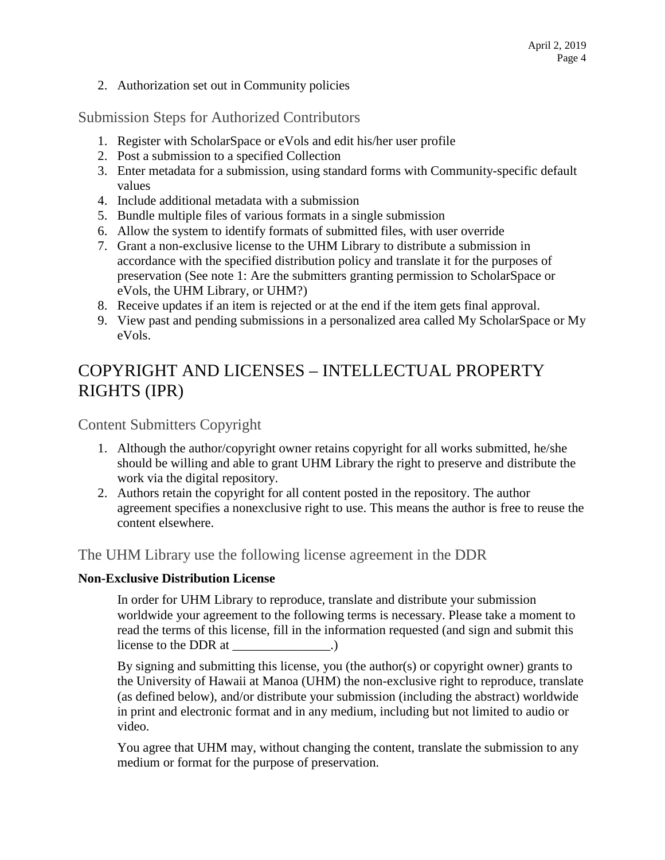2. Authorization set out in Community policies

Submission Steps for Authorized Contributors

- 1. Register with ScholarSpace or eVols and edit his/her user profile
- 2. Post a submission to a specified Collection
- 3. Enter metadata for a submission, using standard forms with Community-specific default values
- 4. Include additional metadata with a submission
- 5. Bundle multiple files of various formats in a single submission
- 6. Allow the system to identify formats of submitted files, with user override
- 7. Grant a non-exclusive license to the UHM Library to distribute a submission in accordance with the specified distribution policy and translate it for the purposes of preservation (See note 1: Are the submitters granting permission to ScholarSpace or eVols, the UHM Library, or UHM?)
- 8. Receive updates if an item is rejected or at the end if the item gets final approval.
- 9. View past and pending submissions in a personalized area called My ScholarSpace or My eVols.

# COPYRIGHT AND LICENSES – INTELLECTUAL PROPERTY RIGHTS (IPR)

Content Submitters Copyright

- 1. Although the author/copyright owner retains copyright for all works submitted, he/she should be willing and able to grant UHM Library the right to preserve and distribute the work via the digital repository.
- 2. Authors retain the copyright for all content posted in the repository. The author agreement specifies a nonexclusive right to use. This means the author is free to reuse the content elsewhere.

The UHM Library use the following license agreement in the DDR

#### **Non-Exclusive Distribution License**

In order for UHM Library to reproduce, translate and distribute your submission worldwide your agreement to the following terms is necessary. Please take a moment to read the terms of this license, fill in the information requested (and sign and submit this license to the DDR at  $\qquad \qquad$ .)

By signing and submitting this license, you (the author(s) or copyright owner) grants to the University of Hawaii at Manoa (UHM) the non-exclusive right to reproduce, translate (as defined below), and/or distribute your submission (including the abstract) worldwide in print and electronic format and in any medium, including but not limited to audio or video.

You agree that UHM may, without changing the content, translate the submission to any medium or format for the purpose of preservation.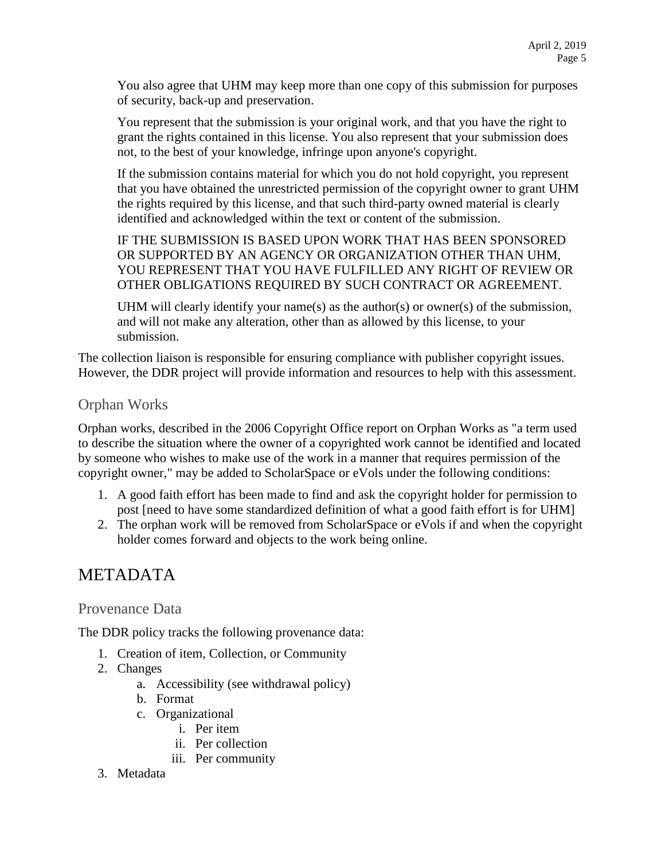You also agree that UHM may keep more than one copy of this submission for purposes of security, back-up and preservation.

You represent that the submission is your original work, and that you have the right to grant the rights contained in this license. You also represent that your submission does not, to the best of your knowledge, infringe upon anyone's copyright.

If the submission contains material for which you do not hold copyright, you represent that you have obtained the unrestricted permission of the copyright owner to grant UHM the rights required by this license, and that such third-party owned material is clearly identified and acknowledged within the text or content of the submission.

IF THE SUBMISSION IS BASED UPON WORK THAT HAS BEEN SPONSORED OR SUPPORTED BY AN AGENCY OR ORGANIZATION OTHER THAN UHM, YOU REPRESENT THAT YOU HAVE FULFILLED ANY RIGHT OF REVIEW OR OTHER OBLIGATIONS REQUIRED BY SUCH CONTRACT OR AGREEMENT.

UHM will clearly identify your name(s) as the author(s) or owner(s) of the submission, and will not make any alteration, other than as allowed by this license, to your submission.

The collection liaison is responsible for ensuring compliance with publisher copyright issues. However, the DDR project will provide information and resources to help with this assessment.

#### Orphan Works

Orphan works, described in the 2006 Copyright Office report on Orphan Works as "a term used to describe the situation where the owner of a copyrighted work cannot be identified and located by someone who wishes to make use of the work in a manner that requires permission of the copyright owner," may be added to ScholarSpace or eVols under the following conditions:

- 1. A good faith effort has been made to find and ask the copyright holder for permission to post [need to have some standardized definition of what a good faith effort is for UHM]
- 2. The orphan work will be removed from ScholarSpace or eVols if and when the copyright holder comes forward and objects to the work being online.

### METADATA

#### Provenance Data

The DDR policy tracks the following provenance data:

- 1. Creation of item, Collection, or Community
- 2. Changes
	- a. Accessibility (see withdrawal policy)
	- b. Format
	- c. Organizational
		- i. Per item
			- ii. Per collection
		- iii. Per community
- 3. Metadata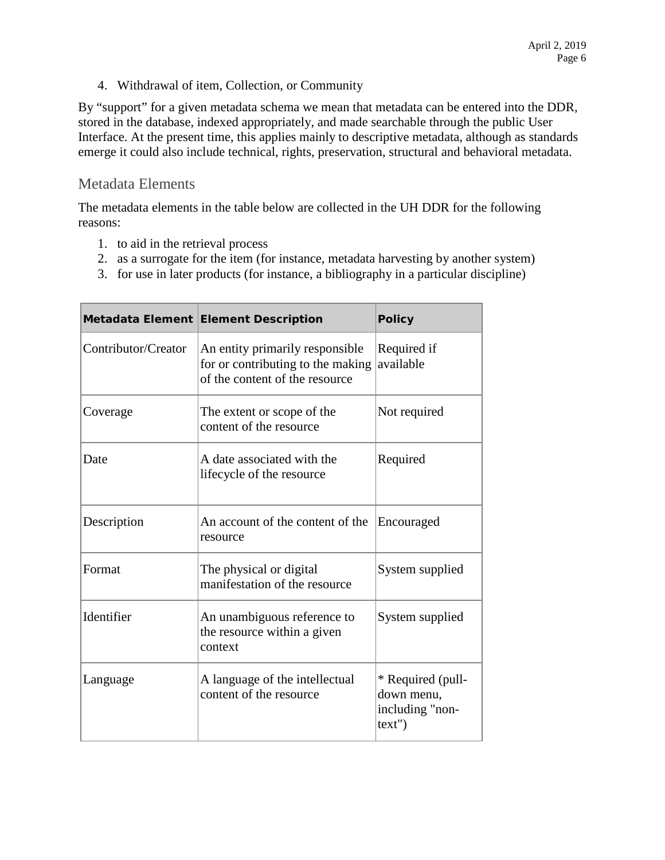4. Withdrawal of item, Collection, or Community

By "support" for a given metadata schema we mean that metadata can be entered into the DDR, stored in the database, indexed appropriately, and made searchable through the public User Interface. At the present time, this applies mainly to descriptive metadata, although as standards emerge it could also include technical, rights, preservation, structural and behavioral metadata.

#### Metadata Elements

The metadata elements in the table below are collected in the UH DDR for the following reasons:

- 1. to aid in the retrieval process
- 2. as a surrogate for the item (for instance, metadata harvesting by another system)
- 3. for use in later products (for instance, a bibliography in a particular discipline)

|                     | Metadata Element Element Description                                                                   | <b>Policy</b>                                               |
|---------------------|--------------------------------------------------------------------------------------------------------|-------------------------------------------------------------|
| Contributor/Creator | An entity primarily responsible<br>for or contributing to the making<br>of the content of the resource | Required if<br>available                                    |
| Coverage            | The extent or scope of the<br>content of the resource                                                  | Not required                                                |
| Date                | A date associated with the<br>lifecycle of the resource                                                | Required                                                    |
| Description         | An account of the content of the<br>resource                                                           | Encouraged                                                  |
| Format              | The physical or digital<br>manifestation of the resource                                               | System supplied                                             |
| Identifier          | An unambiguous reference to<br>the resource within a given<br>context                                  | System supplied                                             |
| Language            | A language of the intellectual<br>content of the resource                                              | * Required (pull-<br>down menu,<br>including "non-<br>text' |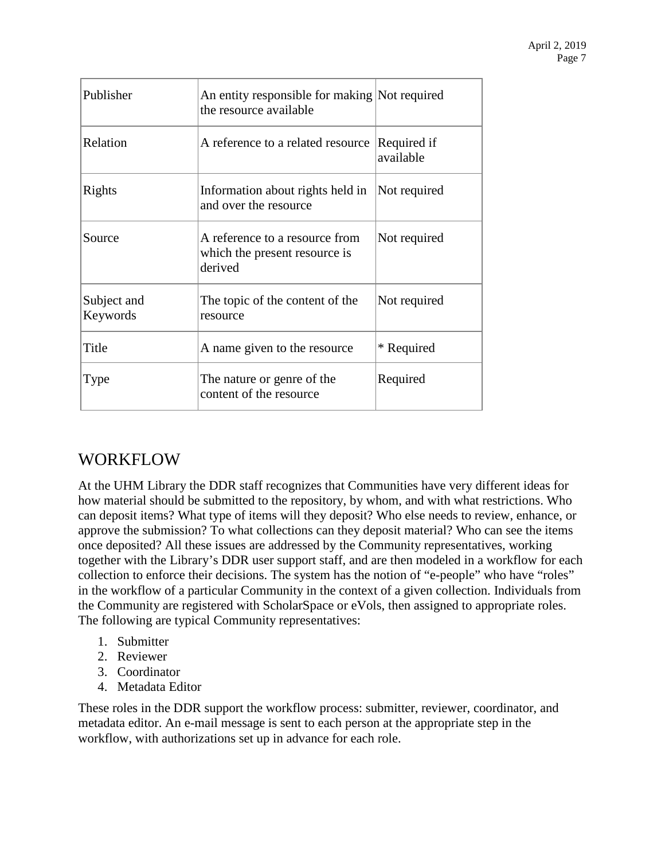| Publisher               | An entity responsible for making Not required<br>the resource available    |                          |
|-------------------------|----------------------------------------------------------------------------|--------------------------|
| Relation                | A reference to a related resource                                          | Required if<br>available |
| Rights                  | Information about rights held in<br>and over the resource                  | Not required             |
| Source                  | A reference to a resource from<br>which the present resource is<br>derived | Not required             |
| Subject and<br>Keywords | The topic of the content of the<br>resource                                | Not required             |
| Title                   | A name given to the resource                                               | * Required               |
| Type                    | The nature or genre of the<br>content of the resource                      | Required                 |

### WORKFLOW

At the UHM Library the DDR staff recognizes that Communities have very different ideas for how material should be submitted to the repository, by whom, and with what restrictions. Who can deposit items? What type of items will they deposit? Who else needs to review, enhance, or approve the submission? To what collections can they deposit material? Who can see the items once deposited? All these issues are addressed by the Community representatives, working together with the Library's DDR user support staff, and are then modeled in a workflow for each collection to enforce their decisions. The system has the notion of "e-people" who have "roles" in the workflow of a particular Community in the context of a given collection. Individuals from the Community are registered with ScholarSpace or eVols, then assigned to appropriate roles. The following are typical Community representatives:

- 1. Submitter
- 2. Reviewer
- 3. Coordinator
- 4. Metadata Editor

These roles in the DDR support the workflow process: submitter, reviewer, coordinator, and metadata editor. An e-mail message is sent to each person at the appropriate step in the workflow, with authorizations set up in advance for each role.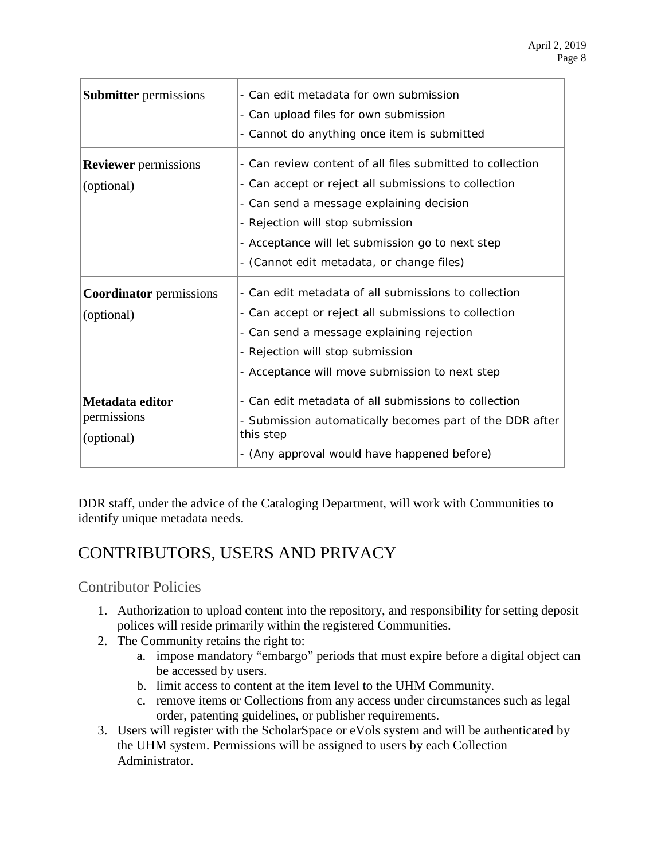| <b>Submitter</b> permissions                 | - Can edit metadata for own submission<br>- Can upload files for own submission<br>- Cannot do anything once item is submitted                                                                                                                                                                     |
|----------------------------------------------|----------------------------------------------------------------------------------------------------------------------------------------------------------------------------------------------------------------------------------------------------------------------------------------------------|
| <b>Reviewer</b> permissions<br>(optional)    | - Can review content of all files submitted to collection<br>- Can accept or reject all submissions to collection<br>- Can send a message explaining decision<br>- Rejection will stop submission<br>- Acceptance will let submission go to next step<br>- (Cannot edit metadata, or change files) |
| <b>Coordinator</b> permissions<br>(optional) | - Can edit metadata of all submissions to collection<br>- Can accept or reject all submissions to collection<br>- Can send a message explaining rejection<br>- Rejection will stop submission<br>- Acceptance will move submission to next step                                                    |
| Metadata editor<br>permissions<br>(optional) | - Can edit metadata of all submissions to collection<br>- Submission automatically becomes part of the DDR after<br>this step<br>- (Any approval would have happened before)                                                                                                                       |

DDR staff, under the advice of the Cataloging Department, will work with Communities to identify unique metadata needs.

### CONTRIBUTORS, USERS AND PRIVACY

Contributor Policies

- 1. Authorization to upload content into the repository, and responsibility for setting deposit polices will reside primarily within the registered Communities.
- 2. The Community retains the right to:
	- a. impose mandatory "embargo" periods that must expire before a digital object can be accessed by users.
	- b. limit access to content at the item level to the UHM Community.
	- c. remove items or Collections from any access under circumstances such as legal order, patenting guidelines, or publisher requirements.
- 3. Users will register with the ScholarSpace or eVols system and will be authenticated by the UHM system. Permissions will be assigned to users by each Collection Administrator.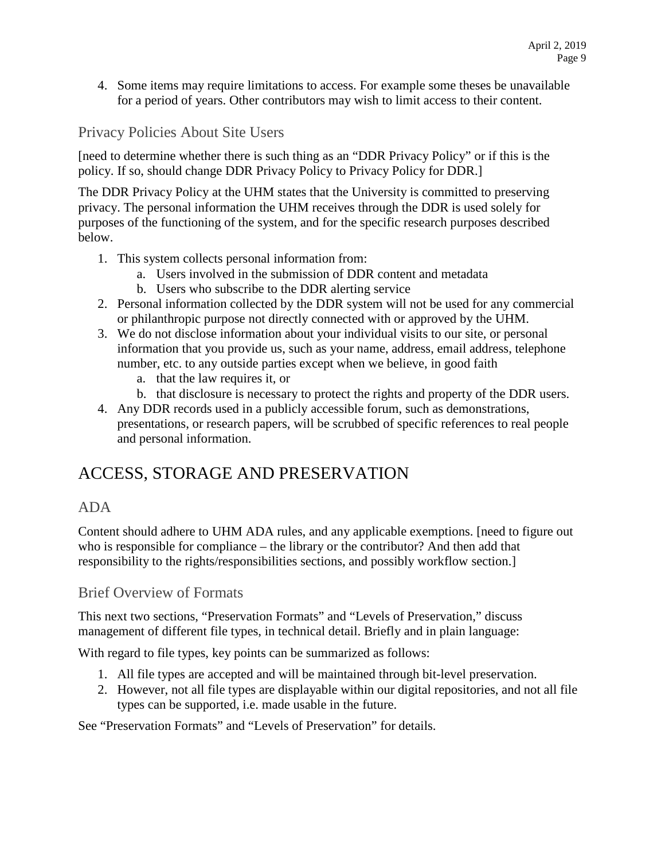4. Some items may require limitations to access. For example some theses be unavailable for a period of years. Other contributors may wish to limit access to their content.

Privacy Policies About Site Users

[need to determine whether there is such thing as an "DDR Privacy Policy" or if this is the policy. If so, should change DDR Privacy Policy to Privacy Policy for DDR.]

The DDR Privacy Policy at the UHM states that the University is committed to preserving privacy. The personal information the UHM receives through the DDR is used solely for purposes of the functioning of the system, and for the specific research purposes described below.

- 1. This system collects personal information from:
	- a. Users involved in the submission of DDR content and metadata
	- b. Users who subscribe to the DDR alerting service
- 2. Personal information collected by the DDR system will not be used for any commercial or philanthropic purpose not directly connected with or approved by the UHM.
- 3. We do not disclose information about your individual visits to our site, or personal information that you provide us, such as your name, address, email address, telephone number, etc. to any outside parties except when we believe, in good faith
	- a. that the law requires it, or
	- b. that disclosure is necessary to protect the rights and property of the DDR users.
- 4. Any DDR records used in a publicly accessible forum, such as demonstrations, presentations, or research papers, will be scrubbed of specific references to real people and personal information.

### ACCESS, STORAGE AND PRESERVATION

#### ADA

Content should adhere to UHM ADA rules, and any applicable exemptions. [need to figure out who is responsible for compliance – the library or the contributor? And then add that responsibility to the rights/responsibilities sections, and possibly workflow section.]

#### Brief Overview of Formats

This next two sections, "Preservation Formats" and "Levels of Preservation," discuss management of different file types, in technical detail. Briefly and in plain language:

With regard to file types, key points can be summarized as follows:

- 1. All file types are accepted and will be maintained through bit-level preservation.
- 2. However, not all file types are displayable within our digital repositories, and not all file types can be supported, i.e. made usable in the future.

See "Preservation Formats" and "Levels of Preservation" for details.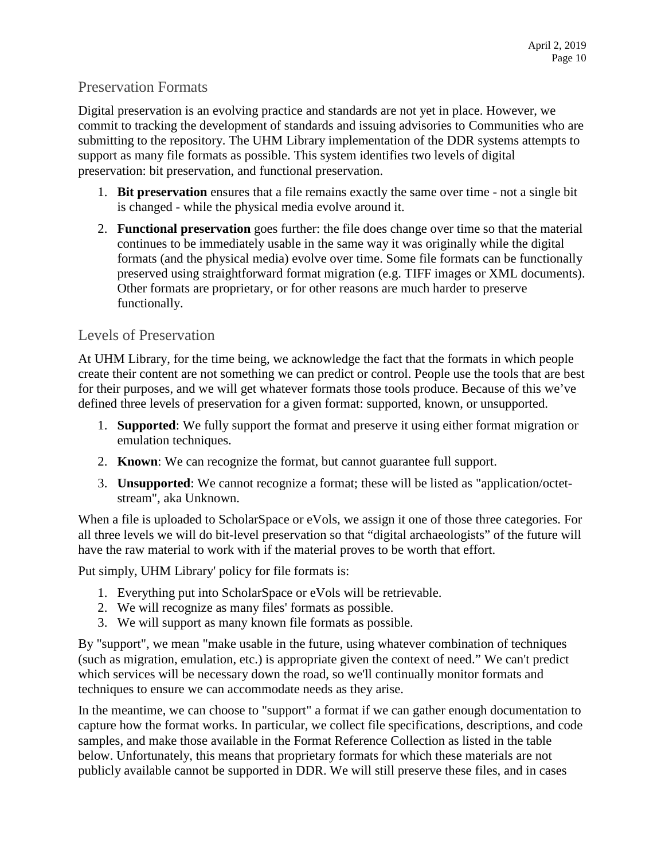#### Preservation Formats

Digital preservation is an evolving practice and standards are not yet in place. However, we commit to tracking the development of standards and issuing advisories to Communities who are submitting to the repository. The UHM Library implementation of the DDR systems attempts to support as many file formats as possible. This system identifies two levels of digital preservation: bit preservation, and functional preservation.

- 1. **Bit preservation** ensures that a file remains exactly the same over time not a single bit is changed - while the physical media evolve around it.
- 2. **Functional preservation** goes further: the file does change over time so that the material continues to be immediately usable in the same way it was originally while the digital formats (and the physical media) evolve over time. Some file formats can be functionally preserved using straightforward format migration (e.g. TIFF images or XML documents). Other formats are proprietary, or for other reasons are much harder to preserve functionally.

#### Levels of Preservation

At UHM Library, for the time being, we acknowledge the fact that the formats in which people create their content are not something we can predict or control. People use the tools that are best for their purposes, and we will get whatever formats those tools produce. Because of this we've defined three levels of preservation for a given format: supported, known, or unsupported.

- 1. **Supported**: We fully support the format and preserve it using either format migration or emulation techniques.
- 2. **Known**: We can recognize the format, but cannot guarantee full support.
- 3. **Unsupported**: We cannot recognize a format; these will be listed as "application/octetstream", aka Unknown.

When a file is uploaded to ScholarSpace or eVols, we assign it one of those three categories. For all three levels we will do bit-level preservation so that "digital archaeologists" of the future will have the raw material to work with if the material proves to be worth that effort.

Put simply, UHM Library' policy for file formats is:

- 1. Everything put into ScholarSpace or eVols will be retrievable.
- 2. We will recognize as many files' formats as possible.
- 3. We will support as many known file formats as possible.

By "support", we mean "make usable in the future, using whatever combination of techniques (such as migration, emulation, etc.) is appropriate given the context of need." We can't predict which services will be necessary down the road, so we'll continually monitor formats and techniques to ensure we can accommodate needs as they arise.

In the meantime, we can choose to "support" a format if we can gather enough documentation to capture how the format works. In particular, we collect file specifications, descriptions, and code samples, and make those available in the Format Reference Collection as listed in the table below. Unfortunately, this means that proprietary formats for which these materials are not publicly available cannot be supported in DDR. We will still preserve these files, and in cases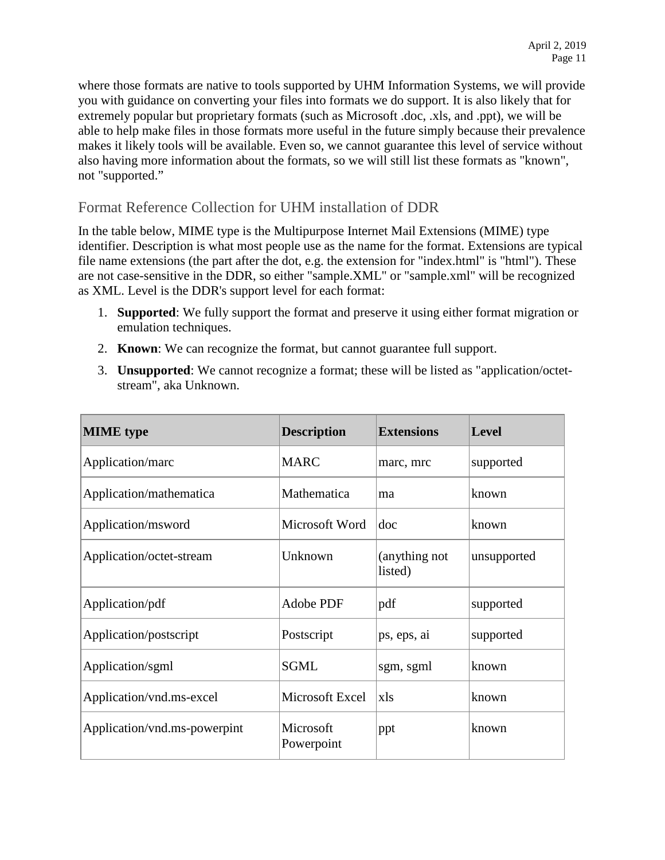where those formats are native to tools supported by UHM Information Systems, we will provide you with guidance on converting your files into formats we do support. It is also likely that for extremely popular but proprietary formats (such as Microsoft .doc, .xls, and .ppt), we will be able to help make files in those formats more useful in the future simply because their prevalence makes it likely tools will be available. Even so, we cannot guarantee this level of service without also having more information about the formats, so we will still list these formats as "known", not "supported."

#### Format Reference Collection for UHM installation of DDR

In the table below, MIME type is the Multipurpose Internet Mail Extensions (MIME) type identifier. Description is what most people use as the name for the format. Extensions are typical file name extensions (the part after the dot, e.g. the extension for "index.html" is "html"). These are not case-sensitive in the DDR, so either "sample.XML" or "sample.xml" will be recognized as XML. Level is the DDR's support level for each format:

- 1. **Supported**: We fully support the format and preserve it using either format migration or emulation techniques.
- 2. **Known**: We can recognize the format, but cannot guarantee full support.
- 3. **Unsupported**: We cannot recognize a format; these will be listed as "application/octetstream", aka Unknown.

| <b>MIME</b> type             | <b>Description</b>      | <b>Extensions</b>        | <b>Level</b> |
|------------------------------|-------------------------|--------------------------|--------------|
| Application/marc             | <b>MARC</b>             | marc, mrc                | supported    |
| Application/mathematica      | Mathematica             | ma                       | known        |
| Application/msword           | Microsoft Word          | doc                      | known        |
| Application/octet-stream     | Unknown                 | (anything not<br>listed) | unsupported  |
| Application/pdf              | Adobe PDF               | pdf                      | supported    |
| Application/postscript       | Postscript              | ps, eps, ai              | supported    |
| Application/sgml             | <b>SGML</b>             | sgm, sgml                | known        |
| Application/vnd.ms-excel     | Microsoft Excel         | xls                      | known        |
| Application/vnd.ms-powerpint | Microsoft<br>Powerpoint | ppt                      | known        |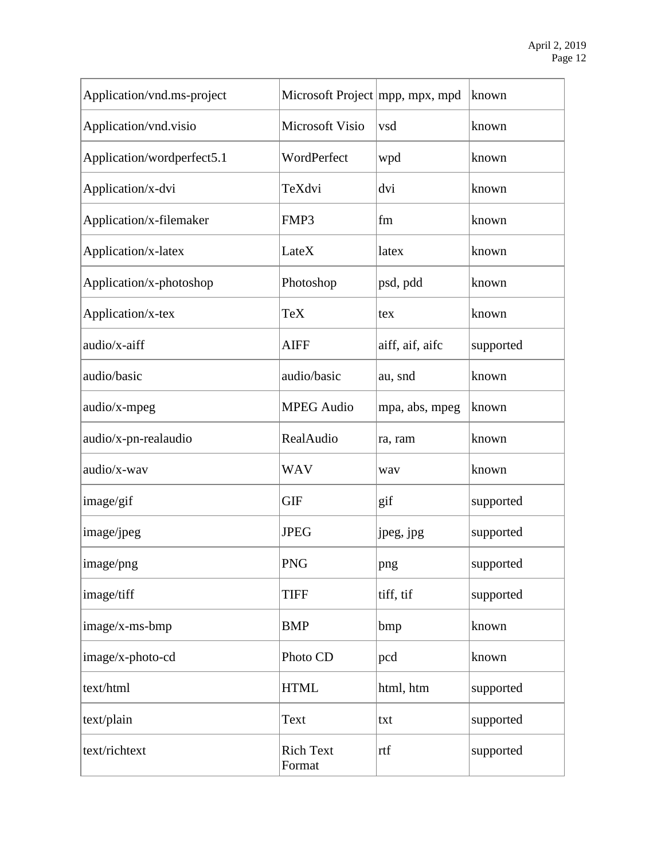| Application/vnd.ms-project | Microsoft Project   mpp, mpx, mpd |                 | known     |
|----------------------------|-----------------------------------|-----------------|-----------|
| Application/vnd.visio      | Microsoft Visio                   | vsd             | known     |
| Application/wordperfect5.1 | WordPerfect                       | wpd             | known     |
| Application/x-dvi          | TeXdvi                            | dvi             | known     |
| Application/x-filemaker    | FMP3                              | fm              | known     |
| Application/x-latex        | LateX                             | latex           | known     |
| Application/x-photoshop    | Photoshop                         | psd, pdd        | known     |
| Application/x-tex          | <b>TeX</b>                        | tex             | known     |
| audio/x-aiff               | <b>AIFF</b>                       | aiff, aif, aifc | supported |
| audio/basic                | audio/basic                       | au, snd         | known     |
| audio/x-mpeg               | <b>MPEG</b> Audio                 | mpa, abs, mpeg  | known     |
| audio/x-pn-realaudio       | RealAudio                         | ra, ram         | known     |
| audio/x-wav                | <b>WAV</b>                        | way             | known     |
| image/gif                  | <b>GIF</b>                        | gif             | supported |
| image/jpeg                 | <b>JPEG</b>                       | jpeg, jpg       | supported |
| image/png                  | <b>PNG</b>                        | png             | supported |
| image/tiff                 | <b>TIFF</b>                       | tiff, tif       | supported |
| image/x-ms-bmp             | <b>BMP</b>                        | bmp             | known     |
| image/x-photo-cd           | Photo CD                          | pcd             | known     |
| text/html                  | <b>HTML</b>                       | html, htm       | supported |
| text/plain                 | Text                              | txt             | supported |
| text/richtext              | <b>Rich Text</b><br>Format        | rtf             | supported |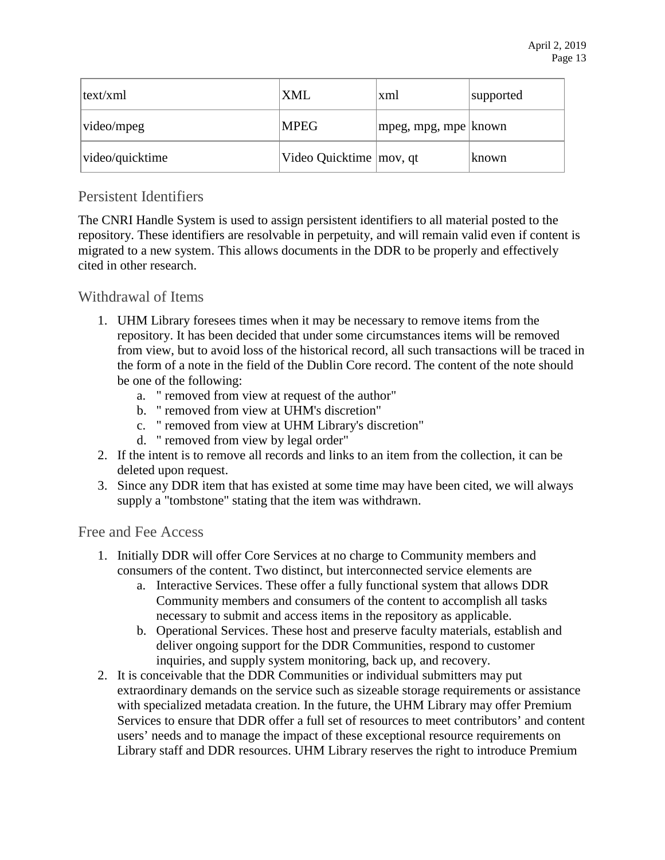| text/xml        | <b>XML</b>                | xml                      | supported |
|-----------------|---------------------------|--------------------------|-----------|
| video/mpeg      | <b>MPEG</b>               | $ mpeg, mpg, mpe $ known |           |
| video/quicktime | Video Quicktime   mov, qt |                          | known     |

#### Persistent Identifiers

The CNRI Handle System is used to assign persistent identifiers to all material posted to the repository. These identifiers are resolvable in perpetuity, and will remain valid even if content is migrated to a new system. This allows documents in the DDR to be properly and effectively cited in other research.

#### Withdrawal of Items

- 1. UHM Library foresees times when it may be necessary to remove items from the repository. It has been decided that under some circumstances items will be removed from view, but to avoid loss of the historical record, all such transactions will be traced in the form of a note in the field of the Dublin Core record. The content of the note should be one of the following:
	- a. " removed from view at request of the author"
	- b. " removed from view at UHM's discretion"
	- c. " removed from view at UHM Library's discretion"
	- d. " removed from view by legal order"
- 2. If the intent is to remove all records and links to an item from the collection, it can be deleted upon request.
- 3. Since any DDR item that has existed at some time may have been cited, we will always supply a "tombstone" stating that the item was withdrawn.

#### Free and Fee Access

- 1. Initially DDR will offer Core Services at no charge to Community members and consumers of the content. Two distinct, but interconnected service elements are
	- a. Interactive Services. These offer a fully functional system that allows DDR Community members and consumers of the content to accomplish all tasks necessary to submit and access items in the repository as applicable.
	- b. Operational Services. These host and preserve faculty materials, establish and deliver ongoing support for the DDR Communities, respond to customer inquiries, and supply system monitoring, back up, and recovery.
- 2. It is conceivable that the DDR Communities or individual submitters may put extraordinary demands on the service such as sizeable storage requirements or assistance with specialized metadata creation. In the future, the UHM Library may offer Premium Services to ensure that DDR offer a full set of resources to meet contributors' and content users' needs and to manage the impact of these exceptional resource requirements on Library staff and DDR resources. UHM Library reserves the right to introduce Premium